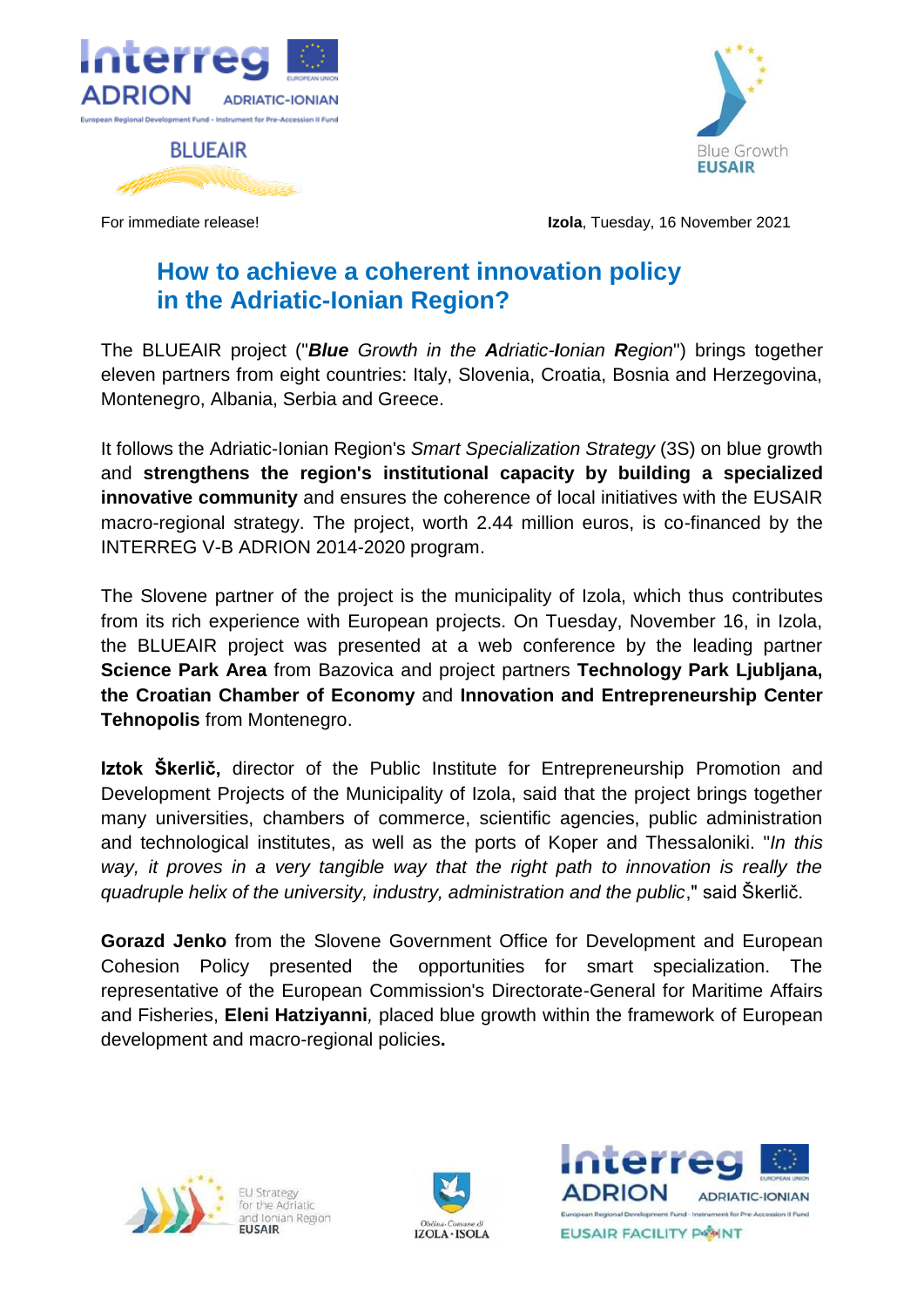





For immediate release! **Izola**, Tuesday, 16 November 2021

## **How to achieve a coherent innovation policy in the Adriatic-Ionian Region?**

The BLUEAIR project ("*Blue Growth in the Adriatic-Ionian Region*") brings together eleven partners from eight countries: Italy, Slovenia, Croatia, Bosnia and Herzegovina, Montenegro, Albania, Serbia and Greece.

It follows the Adriatic-Ionian Region's *Smart Specialization Strategy* (3S) on blue growth and **strengthens the region's institutional capacity by building a specialized innovative community** and ensures the coherence of local initiatives with the EUSAIR macro-regional strategy. The project, worth 2.44 million euros, is co-financed by the INTERREG V-B ADRION 2014-2020 program.

The Slovene partner of the project is the municipality of Izola, which thus contributes from its rich experience with European projects. On Tuesday, November 16, in Izola, the BLUEAIR project was presented at a web conference by the leading partner **Science Park Area** from Bazovica and project partners **Technology Park Ljubljana, the Croatian Chamber of Economy** and **Innovation and Entrepreneurship Center Tehnopolis** from Montenegro.

**Iztok Škerlič,** director of the Public Institute for Entrepreneurship Promotion and Development Projects of the Municipality of Izola, said that the project brings together many universities, chambers of commerce, scientific agencies, public administration and technological institutes, as well as the ports of Koper and Thessaloniki. "*In this way, it proves in a very tangible way that the right path to innovation is really the quadruple helix of the university, industry, administration and the public*," said Škerlič.

**Gorazd Jenko** from the Slovene Government Office for Development and European Cohesion Policy presented the opportunities for smart specialization. The representative of the European Commission's Directorate-General for Maritime Affairs and Fisheries, **Eleni Hatziyanni***,* placed blue growth within the framework of European development and macro-regional policies**.**



EU Strategy for the Adriatic and Ionian Region





**EUSAIR FACILITY POINT**